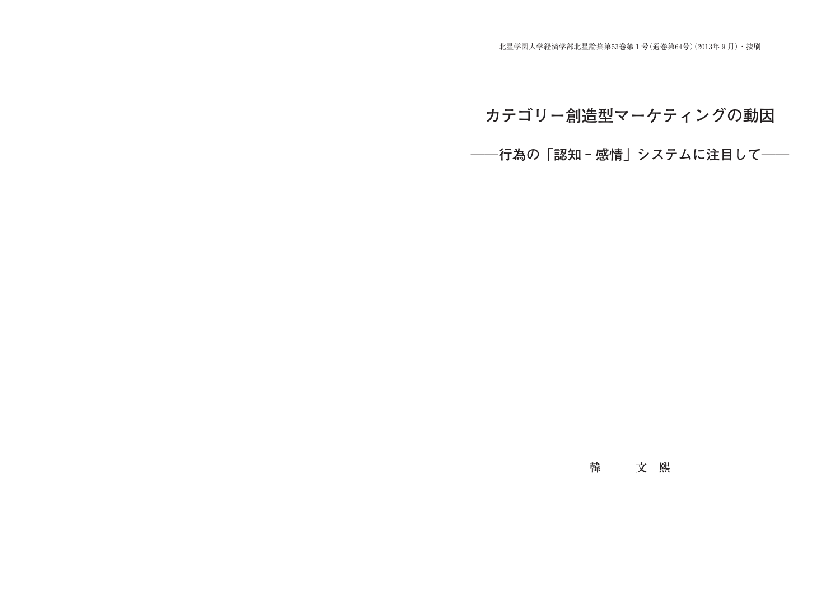北星学園大学経済学部北星論集第53巻第1号(通巻第64号)(2013年9月)・抜刷

# カテゴリー創造型マーケティングの動因

**――行為の「認知‐感情」システムに注目して――**

# **韓 文熙**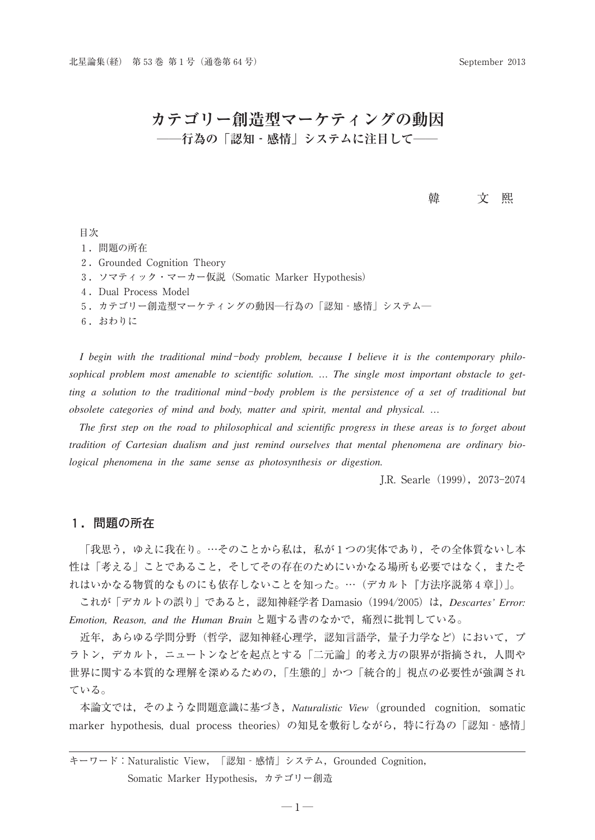### **カテゴリー創造型マーケティングの動因 ――行為の「認知‐感情」システムに注目して――**

#### 韓 文熙

#### 目次

- 1.問題の所在
- 2.Grounded Cognition Theory
- 3.ソマティック・マーカー仮説(Somatic Marker Hypothesis)
- 4.Dual Process Model
- 5.カテゴリー創造型マーケティングの動因―行為の「認知‐感情」システム―
- 6.おわりに

I begin with the traditional mind-body problem, because I believe it is the contemporary philo*sophical problem most amenable to scientific solution. … The single most important obstacle to getting a solution to the traditional mind*-*body problem is the persistence of a set of traditional but obsolete categories of mind and body, matter and spirit, mental and physical. …*

*The first step on the road to philosophical and scientific progress in these areas is to forget about tradition of Cartesian dualism and just remind ourselves that mental phenomena are ordinary biological phenomena in the same sense as photosynthesis or digestion.*

J.R. Searle(1999),2073-2074

#### **1.問題の所在**

「我思う,ゆえに我在り。…そのことから私は,私が1つの実体であり,その全体質ないし本 性は「考える」ことであること、そしてその存在のためにいかなる場所も必要ではなく、またそ れはいかなる物質的なものにも依存しないことを知った。…(デカルト『方法序説第4章』)」。

これが「デカルトの誤り」であると, 認知神経学者 Damasio (1994/2005)は, *Descartes' Error: Emotion, Reason, and the Human Brain* と題する書のなかで,痛烈に批判している。

近年,あらゆる学問分野(哲学,認知神経心理学,認知言語学,量子力学など)において,プ ラトン,デカルト,ニュートンなどを起点とする「二元論」的考え方の限界が指摘され,人間や 世界に関する本質的な理解を深めるための,「生態的」かつ「統合的」視点の必要性が強調され ている。

本論文では,そのような問題意識に基づき,*Naturalistic View*(grounded cognition, somatic marker hypothesis, dual process theories)の知見を敷衍しながら,特に行為の「認知‐感情」

キーワード: Naturalistic View, 「認知‐感情」システム, Grounded Cognition, Somatic Marker Hypothesis,カテゴリー創造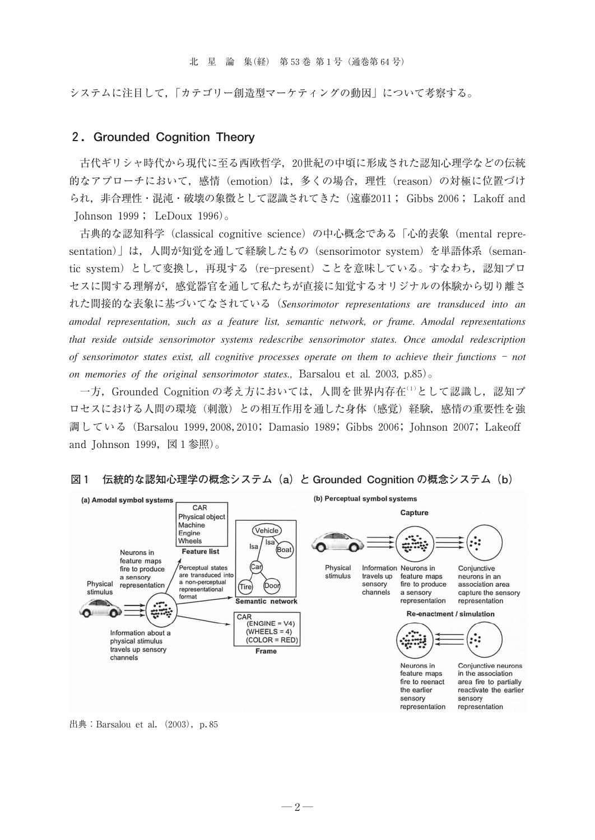システムに注目して,「カテゴリー創造型マーケティングの動因」について考察する。

#### **2.Grounded Cognition Theory**

古代ギリシャ時代から現代に至る西欧哲学,20世紀の中頃に形成された認知心理学などの伝統 的なアプローチにおいて,感情(emotion)は,多くの場合,理性(reason)の対極に位置づけ られ,非合理性・混沌・破壊の象徴として認識されてきた(遠藤2011; Gibbs 2006; Lakoff and Johnson 1999; LeDoux 1996)。

古典的な認知科学(classical cognitive science)の中心概念である「心的表象(mental representation)」は、人間が知覚を通して経験したもの (sensorimotor system) を単語体系 (semantic system)として変換し,再現する(re-present)ことを意味している。すなわち,認知プロ セスに関する理解が,感覚器官を通して私たちが直接に知覚するオリジナルの体験から切り離さ れた間接的な表象に基づいてなされている(*Sensorimotor representations are transduced into an amodal representation, such as a feature list, semantic network, or frame. Amodal representations that reside outside sensorimotor systems redescribe sensorimotor states. Once amodal redescription of sensorimotor states exist, all cognitive processes operate on them to achieve their functions* - *not on memories of the original sensorimotor states.,* Barsalou et al. 2003, p.85)。

一方, Grounded Cognition の考え方においては、人間を世界内存在(1)として認識し、認知プ ロセスにおける人間の環境(刺激)との相互作用を通した身体(感覚)経験,感情の重要性を強 調している(Barsalou 1999,2008,2010; Damasio 1989; Gibbs 2006; Johnson 2007; Lakeoff and Johnson 1999,  $\boxtimes$  1 参照)。



#### **図1 伝統的な認知心理学の概念システム(a)と Grounded Cognition の概念システム(b)**

出典: Barsalou et al.  $(2003)$ , p.85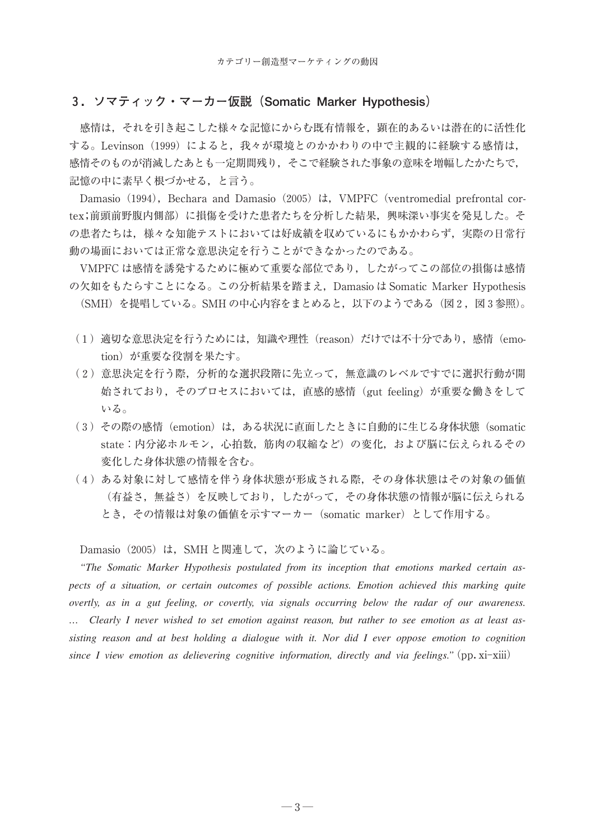#### **3.ソマティック・マーカー仮説(Somatic Marker Hypothesis)**

感情は,それを引き起こした様々な記憶にからむ既有情報を,顕在的あるいは潜在的に活性化 する。Levinson (1999) によると、我々が環境とのかかわりの中で主観的に経験する感情は, 感情そのものが消滅したあとも一定期間残り,そこで経験された事象の意味を増幅したかたちで, 記憶の中に素早く根づかせる,と言う。

Damasio (1994), Bechara and Damasio (2005) は, VMPFC (ventromedial prefrontal cortex;前頭前野腹内側部)に損傷を受けた患者たちを分析した結果,興味深い事実を発見した。そ の患者たちは、様々な知能テストにおいては好成績を収めているにもかかわらず、実際の日常行 動の場面においては正常な意思決定を行うことができなかったのである。

VMPFC は感情を誘発するために極めて重要な部位であり,したがってこの部位の損傷は感情 の欠如をもたらすことになる。この分析結果を踏まえ, Damasio は Somatic Marker Hypothesis (SMH) を提唱している。SMH の中心内容をまとめると, 以下のようである(図2, 図3参照)。

- (1)適切な意思決定を行うためには,知識や理性(reason)だけでは不十分であり,感情(emotion)が重要な役割を果たす。
- (2)意思決定を行う際,分析的な選択段階に先立って,無意識のレベルですでに選択行動が開 始されており,そのプロセスにおいては,直感的感情(gut feeling)が重要な働きをして いる。
- (3)その際の感情(emotion)は,ある状況に直面したときに自動的に生じる身体状態(somatic state:内分泌ホルモン,心拍数,筋肉の収縮など)の変化,および脳に伝えられるその 変化した身体状態の情報を含む。
- (4)ある対象に対して感情を伴う身体状態が形成される際,その身体状態はその対象の価値 (有益さ,無益さ)を反映しており,したがって,その身体状態の情報が脳に伝えられる とき,その情報は対象の価値を示すマーカー(somatic marker)として作用する。

Damasio (2005) は, SMH と関連して, 次のように論じている。

*"The Somatic Marker Hypothesis postulated from its inception that emotions marked certain aspects of a situation, or certain outcomes of possible actions. Emotion achieved this marking quite overtly, as in a gut feeling, or covertly, via signals occurring below the radar of our awareness. … Clearly I never wished to set emotion against reason, but rather to see emotion as at least assisting reason and at best holding a dialogue with it. Nor did I ever oppose emotion to cognition since I view emotion as delievering cognitive information, directly and via feelings."*(pp.xi-xiii)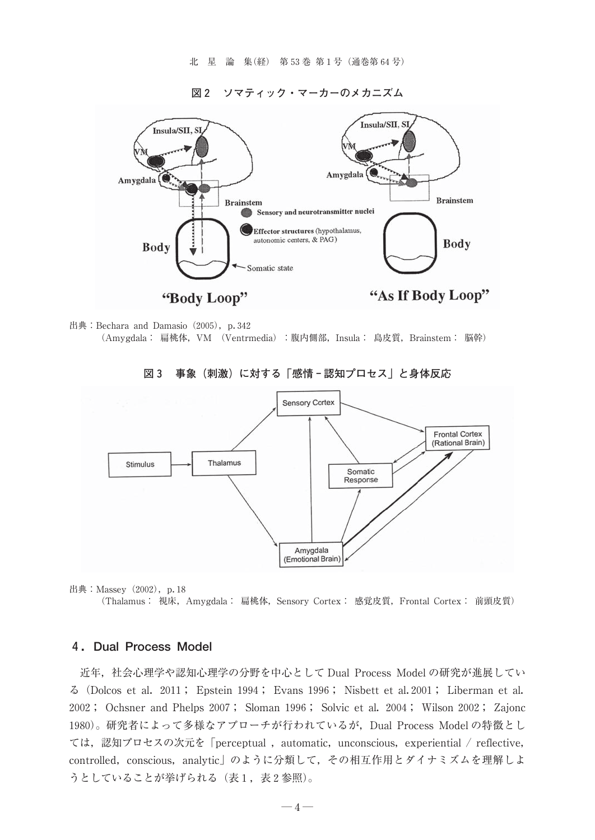北星論集(経) 第53巻 第1号(通巻第64号)

**図2 ソマティック・マーカーのメカニズム**





**図3 事象(刺激)に対する「感情‐認知プロセス」と身体反応**



出典: Massey (2002), p. 18 (Thalamus: 視床, Amygdala: 扁桃体, Sensory Cortex: 感覚皮質, Frontal Cortex: 前頭皮質)

#### **4.Dual Process Model**

近年,社会心理学や認知心理学の分野を中心として Dual Process Model の研究が進展してい る(Dolcos et al.2011; Epstein 1994; Evans 1996; Nisbett et al.2001; Liberman et al. 2002; Ochsner and Phelps 2007; Sloman 1996; Solvic et al.2004; Wilson 2002; Zajonc 1980)。研究者によって多様なアプローチが行われているが,Dual Process Model の特徴とし ては、認知プロセスの次元を「perceptual , automatic, unconscious, experiential / reflective, controlled, conscious, analytic」のように分類して、その相互作用とダイナミズムを理解しよ うとしていることが挙げられる(表1,表2参照)。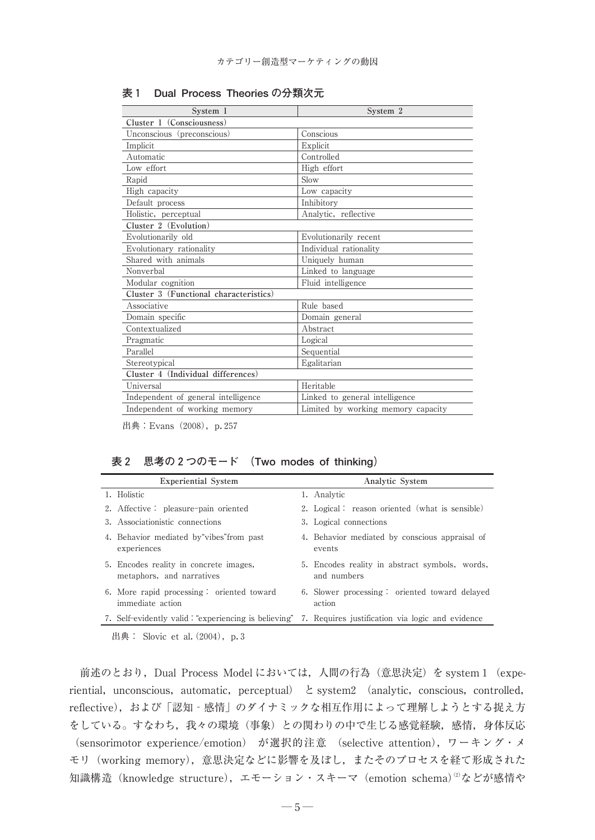| System 1                               | System 2                           |  |  |  |
|----------------------------------------|------------------------------------|--|--|--|
| Cluster 1 (Consciousness)              |                                    |  |  |  |
| Unconscious (preconscious)             | Conscious                          |  |  |  |
| Implicit                               | Explicit                           |  |  |  |
| Automatic                              | Controlled                         |  |  |  |
| Low effort                             | High effort                        |  |  |  |
| Rapid                                  | Slow                               |  |  |  |
| High capacity                          | Low capacity                       |  |  |  |
| Default process                        | Inhibitory                         |  |  |  |
| Holistic, perceptual                   | Analytic, reflective               |  |  |  |
| Cluster 2 (Evolution)                  |                                    |  |  |  |
| Evolutionarily old                     | Evolutionarily recent              |  |  |  |
| Evolutionary rationality               | Individual rationality             |  |  |  |
| Shared with animals                    | Uniquely human                     |  |  |  |
| Nonverbal                              | Linked to language                 |  |  |  |
| Modular cognition                      | Fluid intelligence                 |  |  |  |
| Cluster 3 (Functional characteristics) |                                    |  |  |  |
| Associative                            | Rule based                         |  |  |  |
| Domain specific                        | Domain general                     |  |  |  |
| Contextualized                         | Abstract                           |  |  |  |
| Pragmatic                              | Logical                            |  |  |  |
| Parallel                               | Sequential                         |  |  |  |
| Stereotypical                          | Egalitarian                        |  |  |  |
| Cluster 4 (Individual differences)     |                                    |  |  |  |
| Universal                              | Heritable                          |  |  |  |
| Independent of general intelligence    | Linked to general intelligence     |  |  |  |
| Independent of working memory          | Limited by working memory capacity |  |  |  |

**表1 Dual Process Theories の分類次元**

出典: Evans (2008), p. 257

#### **表2 思考の2つのモード (Two modes of thinking)**

| <b>Experiential System</b> |                                                                                                       | Analytic System |                                                               |
|----------------------------|-------------------------------------------------------------------------------------------------------|-----------------|---------------------------------------------------------------|
|                            | 1. Holistic                                                                                           |                 | 1. Analytic                                                   |
|                            | 2. Affective : pleasure-pain oriented                                                                 |                 | 2. Logical: reason oriented (what is sensible)                |
|                            | 3. Associationistic connections                                                                       |                 | 3. Logical connections                                        |
|                            | 4. Behavior mediated by vibes from past<br>experiences                                                |                 | 4. Behavior mediated by conscious appraisal of<br>events      |
|                            | 5. Encodes reality in concrete images,<br>metaphors, and narratives                                   |                 | 5. Encodes reality in abstract symbols, words,<br>and numbers |
|                            | 6. More rapid processing: oriented toward<br>immediate action                                         |                 | 6. Slower processing: oriented toward delayed<br>action       |
|                            | 7. Self-evidently valid: "experiencing is believing" 7. Requires justification via logic and evidence |                 |                                                               |

出典: Slovic et al.  $(2004)$ , p. 3

前述のとおり, Dual Process Model においては、人間の行為(意思決定)を system 1 (experiential, unconscious, automatic, perceptual)  $\xi$  system2 (analytic, conscious, controlled, reflective),および「認知‐感情」のダイナミックな相互作用によって理解しようとする捉え方 をしている。すなわち,我々の環境(事象)との関わりの中で生じる感覚経験,感情,身体反応 (sensorimotor experience/emotion) が選択的注意 (selective attention),ワーキング・メ モリ(working memory),意思決定などに影響を及ぼし,またそのプロセスを経て形成された 知識構造(knowledge structure),エモーション・スキーマ(emotion schema)<sup>②</sup>などが感情や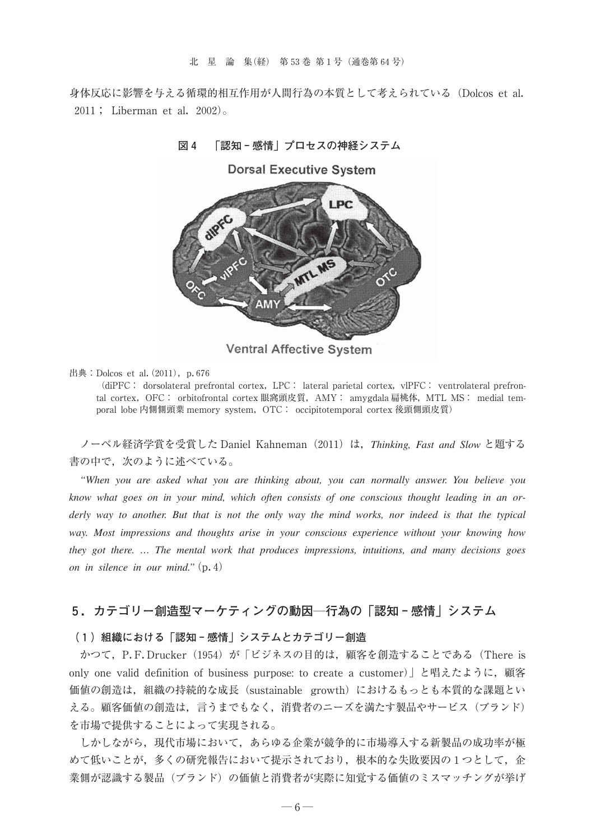身体反応に影響を与える循環的相互作用が人間行為の本質として考えられている(Dolcos et al. 2011; Liberman et al.2002)。

**図4 「認知‐感情」プロセスの神経システム**



Ventral Affective System

出典: Dolcos et al.  $(2011)$ , p. 676

(diPFC: dorsolateral prefrontal cortex, LPC: lateral parietal cortex, vlPFC: ventrolateral prefrontal cortex, OFC: orbitofrontal cortex 眼窩頭皮質, AMY: amygdala 扁桃体, MTL MS: medial temporal lobe 内側側頭葉 memory system, OTC: occipitotemporal cortex 後頭側頭皮質)

ノーベル経済学賞を受賞した Daniel Kahneman(2011)は,*Thinking, Fast and Slow* と題する 書の中で、次のように述べている。

*"When you are asked what you are thinking about, you can normally answer. You believe you know what goes on in your mind, which often consists of one conscious thought leading in an orderly way to another. But that is not the only way the mind works, nor indeed is that the typical way. Most impressions and thoughts arise in your conscious experience without your knowing how they got there. … The mental work that produces impressions, intuitions, and many decisions goes on in silence in our mind."*(p.4)

### **5.カテゴリー創造型マーケティングの動因―行為の「認知‐感情」システム**

#### **(1)組織における「認知‐感情」システムとカテゴリー創造**

かつて, P.F.Drucker (1954) が「ビジネスの目的は、顧客を創造することである (There is only one valid definition of business purpose: to create a customer)」と唱えたように,顧客 価値の創造は,組織の持続的な成長(sustainable growth)におけるもっとも本質的な課題とい える。顧客価値の創造は,言うまでもなく,消費者のニーズを満たす製品やサービス(ブランド) を市場で提供することによって実現される。

しかしながら,現代市場において,あらゆる企業が競争的に市場導入する新製品の成功率が極 めて低いことが、多くの研究報告において提示されており、根本的な失敗要因の1つとして、企 業側が認識する製品(ブランド)の価値と消費者が実際に知覚する価値のミスマッチングが挙げ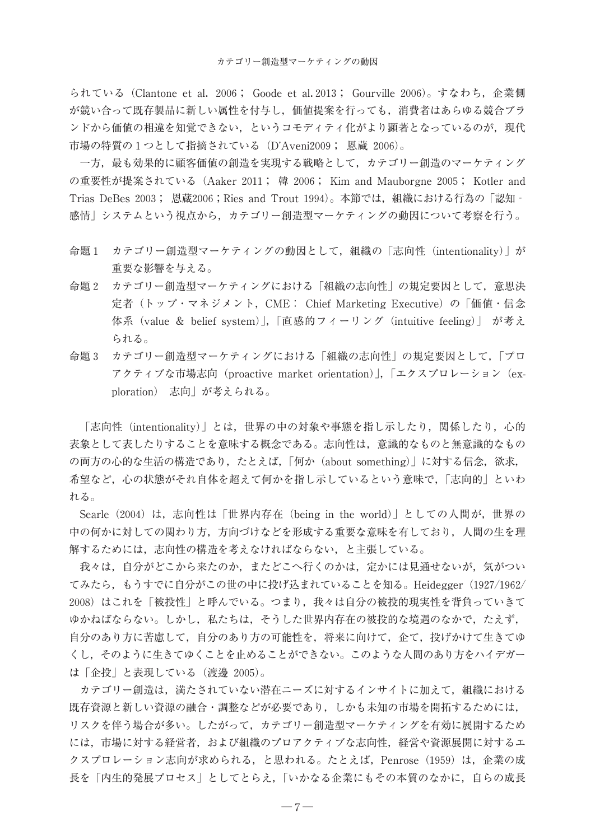られている(Clantone et al.2006; Goode et al.2013; Gourville 2006)。すなわち,企業側 が競い合って既存製品に新しい属性を付与し,価値提案を行っても,消費者はあらゆる競合ブラ ンドから価値の相違を知覚できない、というコモディティ化がより顕著となっているのが、現代 市場の特質の1つとして指摘されている(D'Aveni2009; 恩蔵 2006)。

一方,最も効果的に顧客価値の創造を実現する戦略として,カテゴリー創造のマーケティング の重要性が提案されている(Aaker 2011; 韓2006; Kim and Mauborgne 2005; Kotler and Trias DeBes 2003; 恩蔵2006;Ries and Trout 1994)。本節では,組織における行為の「認知‐ 感情」システムという視点から,カテゴリー創造型マーケティングの動因について考察を行う。

- 命題1 カテゴリー創造型マーケティングの動因として,組織の「志向性(intentionality)」が 重要な影響を与える。
- 命題2 カテゴリー創造型マーケティングにおける「組織の志向性」の規定要因として,意思決 定者(トップ・マネジメント,CME: Chief Marketing Executive)の「価値・信念 体系(value & belief system)」,「直感的フィーリング(intuitive feeling)」 が考え られる。
- 命題3 カテゴリー創造型マーケティングにおける「組織の志向性」の規定要因として,「プロ アクティブな市場志向(proactive market orientation)」,「エクスプロレーション(exploration) 志向」が考えられる。

「志向性(intentionality)」とは、世界の中の対象や事態を指し示したり、関係したり,心的 表象として表したりすることを意味する概念である。志向性は,意識的なものと無意識的なもの の両方の心的な生活の構造であり,たとえば,「何か (about something)」に対する信念,欲求, 希望など,心の状態がそれ自体を超えて何かを指し示しているという意味で,「志向的」といわ れる。

Searle(2004)は,志向性は「世界内存在(being in the world)」としての人間が,世界の 中の何かに対しての関わり方,方向づけなどを形成する重要な意味を有しており,人間の生を理 解するためには,志向性の構造を考えなければならない,と主張している。

我々は、自分がどこから来たのか、またどこへ行くのかは、定かには見通せないが、気がつい てみたら,もうすでに自分がこの世の中に投げ込まれていることを知る。Heidegger(1927/1962/ 2008)はこれを「被投性」と呼んでいる。つまり,我々は自分の被投的現実性を背負っていきて ゆかねばならない。しかし,私たちは,そうした世界内存在の被投的な境遇のなかで,たえず, 自分のあり方に苦慮して,自分のあり方の可能性を,将来に向けて,企て,投げかけて生きてゆ くし,そのように生きてゆくことを止めることができない。このような人間のあり方をハイデガー は「企投」と表現している(渡邊 2005)。

カテゴリー創造は,満たされていない潜在ニーズに対するインサイトに加えて,組織における 既存資源と新しい資源の融合・調整などが必要であり,しかも未知の市場を開拓するためには, リスクを伴う場合が多い。したがって,カテゴリー創造型マーケティングを有効に展開するため には,市場に対する経営者,および組織のプロアクティブな志向性,経営や資源展開に対するエ クスプロレーション志向が求められる、と思われる。たとえば、Penrose (1959)は、企業の成 長を「内生的発展プロセス」としてとらえ,「いかなる企業にもその本質のなかに,自らの成長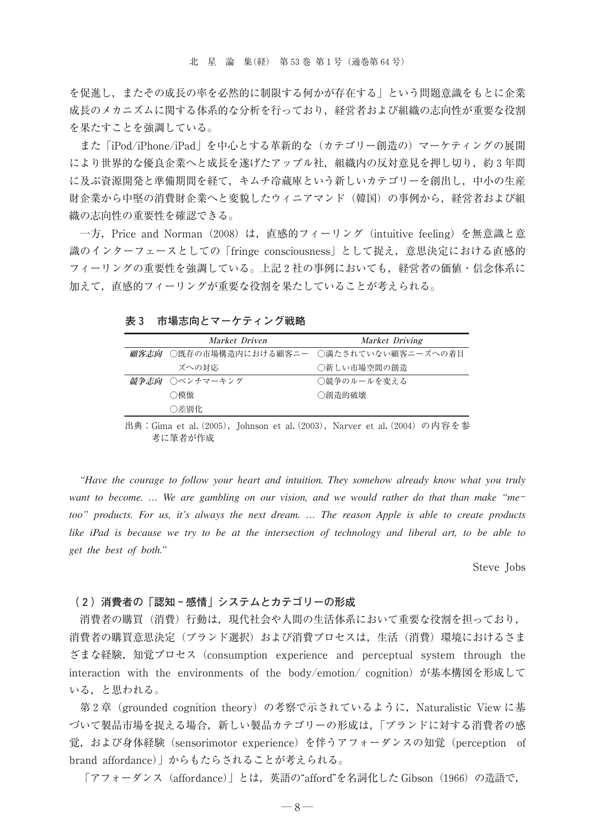を促進し,またその成長の率を必然的に制限する何かが存在する」という問題意識をもとに企業 成長のメカニズムに関する体系的な分析を行っており,経営者および組織の志向性が重要な役割 を果たすことを強調している。

また「iPod/iPhone/iPad」を中心とする革新的な(カテゴリー創造の)マーケティングの展開 により世界的な優良企業へと成長を遂げたアップル社,組織内の反対意見を押し切り,約3年間 に及ぶ資源開発と準備期間を経て,キムチ冷蔵庫という新しいカテゴリーを創出し,中小の生産 財企業から中堅の消費財企業へと変貌したウィニアマンド(韓国)の事例から,経営者および組 織の志向性の重要性を確認できる。

一方, Price and Norman (2008) は, 直感的フィーリング (intuitive feeling) を無意識と意 識のインターフェースとしての「fringe consciousness」として捉え,意思決定における直感的 フィーリングの重要性を強調している。上記2社の事例においても,経営者の価値・信念体系に 加えて,直感的フィーリングが重要な役割を果たしていることが考えられる。

**表3 市場志向とマーケティング戦略**

| Market Driven  | Market Driving                                      |
|----------------|-----------------------------------------------------|
|                | <i>顧客志向</i>   ○既存の市場構造内における顧客ニー  ○満たされていない顧客ニーズへの着目 |
| ズへの対応          | ○新しい市場空間の創造                                         |
| 競争志向 ○ベンチマーキング | ○競争のルールを変える                                         |
| ○模倣            | ○創造的破壊                                              |
| ○差別化           |                                                     |

出典: Gima et al. (2005), Johnson et al. (2003), Narver et al. (2004) の内容を参 考に筆者が作成

*"Have the courage to follow your heart and intuition. They somehow already know what you truly want to become. … We are gambling on our vision, and we would rather do that than make "me too" products. For us, it's always the next dream. … The reason Apple is able to create products like iPad is because we try to be at the intersection of technology and liberal art, to be able to get the best of both."*

Steve Jobs

#### **(2)消費者の「認知‐感情」システムとカテゴリーの形成**

消費者の購買(消費)行動は,現代社会や人間の生活体系において重要な役割を担っており, 消費者の購買意思決定(ブランド選択)および消費プロセスは,生活(消費)環境におけるさま ざまな経験,知覚プロセス(consumption experience and perceptual system through the interaction with the environments of the body/emotion/ cognition)が基本構図を形成して いる,と思われる。

第2章 (grounded cognition theory) の考察で示されているように, Naturalistic View に基 づいて製品市場を捉える場合,新しい製品カテゴリーの形成は,「ブランドに対する消費者の感 覚,および身体経験(sensorimotor experience)を伴うアフォーダンスの知覚(perception of brand affordance)」からもたらされることが考えられる。

「アフォーダンス(affordance)」とは,英語の"afford"を名詞化した Gibson(1966)の造語で,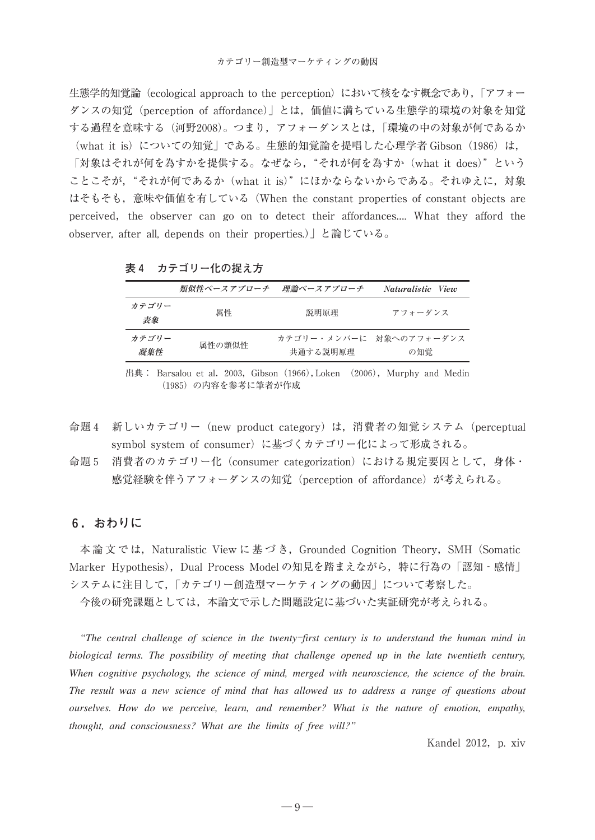生態学的知覚論 (ecological approach to the perception) において核をなす概念であり,「アフォー ダンスの知覚(perception of affordance)」とは,価値に満ちている生態学的環境の対象を知覚 する過程を意味する(河野2008)。つまり,アフォーダンスとは,「環境の中の対象が何であるか (what it is) についての知覚」である。生態的知覚論を提唱した心理学者 Gibson (1986) は, 「対象はそれが何を為すかを提供する。なぜなら、"それが何を為すか (what it does)"という ことこそが,"それが何であるか(what it is)"にほかならないからである。それゆえに,対象 はそもそも,意味や価値を有している(When the constant properties of constant objects are perceived, the observer can go on to detect their affordances.... What they afford the observer, after all, depends on their properties.)」と論じている。

|              | 類似性ベースアプローチ | 理論ベースアプローチ | Naturalistic View              |
|--------------|-------------|------------|--------------------------------|
| カテゴリー<br>表象  | 属性          | 説明原理       | アフォーダンス                        |
| カテゴリー<br>凝集件 | 属性の類似性      | 共通する説明原理   | カテゴリー・メンバーに 対象へのアフォーダンス<br>の知覚 |

**表4 カテゴリー化の捉え方**

出典: Barsalou et al. 2003, Gibson (1966), Loken (2006), Murphy and Medin (1985)の内容を参考に筆者が作成

- 命題4 新しいカテゴリー(new product category)は,消費者の知覚システム(perceptual symbol system of consumer)に基づくカテゴリー化によって形成される。
- 命題5 消費者のカテゴリー化 (consumer categorization) における規定要因として、身体· 感覚経験を伴うアフォーダンスの知覚(perception of affordance)が考えられる。

#### **6.おわりに**

本論文では, Naturalistic View に基づき, Grounded Cognition Theory, SMH (Somatic Marker Hypothesis), Dual Process Modelの知見を踏まえながら,特に行為の「認知‐感情」 システムに注目して,「カテゴリー創造型マーケティングの動因」について考察した。

今後の研究課題としては,本論文で示した問題設定に基づいた実証研究が考えられる。

*"The central challenge of science in the twenty*-*first century is to understand the human mind in biological terms. The possibility of meeting that challenge opened up in the late twentieth century, When cognitive psychology, the science of mind, merged with neuroscience, the science of the brain. The result was a new science of mind that has allowed us to address a range of questions about ourselves. How do we perceive, learn, and remember? What is the nature of emotion, empathy, thought, and consciousness? What are the limits of free will?"*

Kandel 2012, p. xiv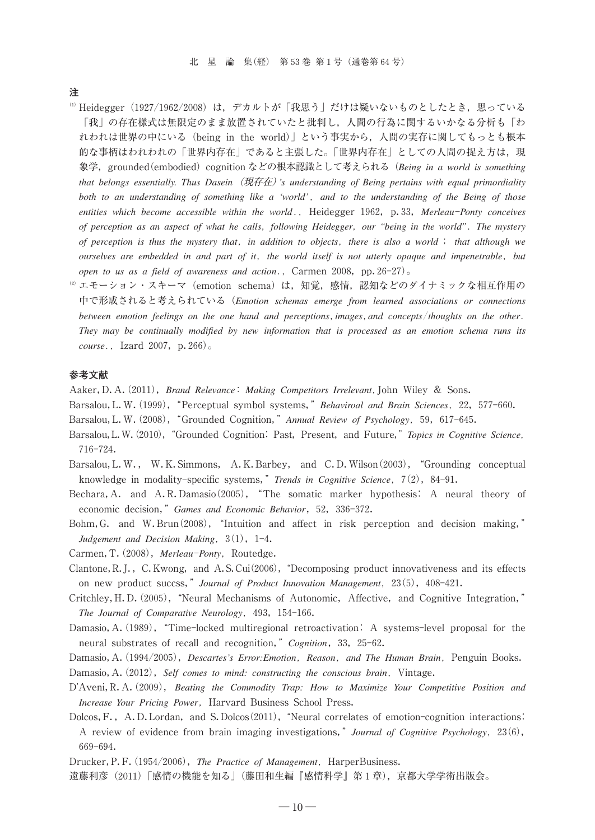**注**

- $^{\textrm{\tiny{\textregistered}}}$  Heidegger(1927/1962/2008)は, デカルトが「我思う」だけは疑いないものとしたとき, 思っている 「我」の存在様式は無限定のまま放置されていたと批判し,人間の行為に関するいかなる分析も「わ れわれは世界の中にいる(being in the world)」という事実から,人間の実存に関してもっとも根本 的な事柄はわれわれの「世界内存在」であると主張した。「世界内存在」としての人間の捉え方は、現 象学,grounded(embodied)cognition などの根本認識として考えられる(*Being in a world is something that belongs essentially. Thus Dasein*(現存在)*'s understanding of Being pertains with equal primordiality both to an understanding of something like a 'world'*-*and to the understanding of the Being of those* entities which become accessible within the world., Heidegger 1962, p.33, Merleau-Ponty conceives *of perception as an aspect of what he calls*-*following Heidegger*-*our "being in the world"The mystery of perception is thus the mystery that*-*in addition to objects*-*there is also a world that although we ourselves are embedded in and part of it*-*the world itself is not utterly opaque and impenetrable*-*but open to us as a field of awareness and action.*, Carmen 2008, pp.26-27).
- <sup>2)</sup> エモーション・スキーマ (emotion schema) は, 知覚, 感情, 認知などのダイナミックな相互作用の 中で形成されると考えられている(*Emotion schemas emerge from learned associations or connections* between emotion feelings on the one hand and perceptions, images, and concepts/thoughts on the other. *They may be continually modified by new information that is processed as an emotion schema runs its course*-Izard 2007,p.266)。

#### **参考文献**

- Aaker,D.A(.2011),*Brand Relevance Making Competitors Irrelevant*-John Wiley & Sons.
- Barsalou, L. W. (1999), "Perceptual symbol systems," Behaviroal and Brain Sciences, 22, 577-660.
- Barsalou,L.W(.2008),"Grounded Cognition,"*Annual Review of Psychology*-59,617-645.
- Barsalou, L.W. (2010), "Grounded Cognition: Past, Present, and Future," *Topics in Cognitive Science*, 716-724.
- Barsalou, L.W., W.K. Simmons, A.K. Barbey, and C.D. Wilson (2003), "Grounding conceptual knowledge in modality-specific systems," *Trends in Cognitive Science*, 7(2), 84-91.
- Bechara,A. and A.R.Damasio(2005),"The somatic marker hypothesis: A neural theory of economic decision," Games and Economic Behavior, 52, 336-372.
- Bohm, G. and W. Brun(2008), "Intuition and affect in risk perception and decision making," Judgement and Decision Making,  $3(1)$ , 1-4.
- Carmen, T. (2008), Merleau-Ponty, Routedge.
- Clantone, R.J., C. Kwong, and A.S. Cui(2006), "Decomposing product innovativeness and its effects on new product succss," *Journal of Product Innovation Management*, 23(5), 408-421.
- Critchley, H.D. (2005), "Neural Mechanisms of Autonomic, Affective, and Cognitive Integration," *The Journal of Comparative Neurology*-493,154-166.
- Damasio, A. (1989), "Time-locked multiregional retroactivation: A systems-level proposal for the neural substrates of recall and recognition,"*Cognition*,33,25-62.
- Damasio, A. (1994/2005), *Descartes's Error: Emotion, Reason, and The Human Brain*, Penguin Books. Damasio, A. (2012), Self comes to mind: constructing the conscious brain, Vintage.
- D'Aveni, R. A. (2009), *Beating the Commodity Trap: How to Maximize Your Competitive Position and Increase Your Pricing Power*-Harvard Business School Press.
- Dolcos, F., A.D. Lordan, and S. Dolcos (2011), "Neural correlates of emotion-cognition interactions: A review of evidence from brain imaging investigations,"*Journal of Cognitive Psychology*-23(6), 669–694.
- Drucker, P.F. (1954/2006), The Practice of Management, HarperBusiness.
- 遠藤利彦(2011)「感情の機能を知る」(藤田和生編『感情科学』第1章),京都大学学術出版会。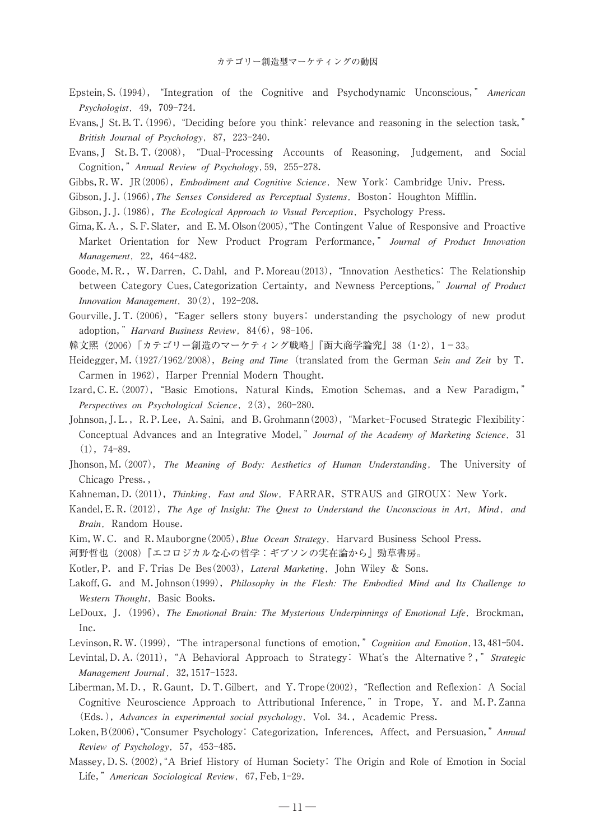- Epstein, S. (1994), "Integration of the Cognitive and Psychodynamic Unconscious," *American Psychologist*-49,709-724.
- Evans, J St. B. T. (1996), "Deciding before you think: relevance and reasoning in the selection task," *British Journal of Psychology*-87,223-240.
- Evans, J St. B. T. (2008), "Dual-Processing Accounts of Reasoning, Judgement, and Social Cognition,"*Annual Review of Psychology*-59,255-278.
- Gibbs, R.W. JR(2006), *Embodiment and Cognitive Science*, New York: Cambridge Univ. Press.
- Gibson, J. J. (1966), *The Senses Considered as Perceptual Systems*, Boston: Houghton Mifflin.
- Gibson, J. J. (1986), *The Ecological Approach to Visual Perception*, Psychology Press.
- Gima, K. A., S. F. Slater, and E. M. Olson(2005), "The Contingent Value of Responsive and Proactive Market Orientation for New Product Program Performance," *Journal of Product Innovation Management*-22,464-482.
- Goode, M.R., W.Darren, C.Dahl, and P.Moreau(2013), "Innovation Aesthetics: The Relationship between Category Cues, Categorization Certainty, and Newness Perceptions," *Journal of Product Innovation Management*-30(2),192-208.
- Gourville, J. T. (2006), "Eager sellers stony buyers: understanding the psychology of new produt adoption," *Harvard Business Review*, 84(6), 98-106.
- 韓文熙(2006)「カテゴリー創造のマーケティング戦略」『函大商学論究』38(1・2),1-33。
- Heidegger,M(.1927/1962/2008),*Being and Time*(translated from the German *Sein and Zeit* by T. Carmen in 1962), Harper Prennial Modern Thought.
- Izard, C. E. (2007), "Basic Emotions, Natural Kinds, Emotion Schemas, and a New Paradigm," *Perspectives on Psychological Science, 2(3), 260-280.*
- Johnson, J.L., R.P.Lee, A.Saini, and B.Grohmann(2003), "Market-Focused Strategic Flexibility: Conceptual Advances and an Integrative Model,"*Journal of the Academy of Marketing Science*-31  $(1), 74-89.$
- Jhonson, M. (2007), *The Meaning of Body: Aesthetics of Human Understanding*, The University of Chicago Press.,
- Kahneman, D. (2011), Thinking, Fast and Slow, FARRAR, STRAUS and GIROUX: New York.
- Kandel, E.R. (2012), The Age of Insight: The Quest to Understand the Unconscious in Art, Mind, and *Brain*-Random House.
- Kim, W.C. and R. Mauborgne (2005), *Blue Ocean Strategy*, Harvard Business School Press.
- 河野哲也(2008)『エコロジカルな心の哲学:ギブソンの実在論から』勁草書房。
- Kotler, P. and F. Trias De Bes(2003), *Lateral Marketing*, John Wiley & Sons.
- Lakoff,G.and M.Johnson(1999),*Philosophy in the Flesh: The Embodied Mind and Its Challenge to* Western Thought, Basic Books.
- LeDoux, J. (1996), The Emotional Brain: The Mysterious Underpinnings of Emotional Life, Brockman, Inc.
- Levinson, R. W. (1999), "The intrapersonal functions of emotion," Cognition and Emotion, 13, 481-504.
- Levintal, D. A. (2011), "A Behavioral Approach to Strategy: What's the Alternative?," *Strategic Management Journal*-32,1517-1523.
- Liberman, M.D., R.Gaunt, D.T.Gilbert, and Y.Trope (2002), "Reflection and Reflexion: A Social Cognitive Neuroscience Approach to Attributional Inference," in Trope, Y. and M.P.Zanna (Eds.), Advances in experimental social psychology, Vol. 34., Academic Press.
- Loken, B(2006), "Consumer Psychology: Categorization, Inferences, Affect, and Persuasion," Annual *Review of Psychology*-57,453-485.
- Massey, D. S. (2002), "A Brief History of Human Society: The Origin and Role of Emotion in Social Life,"*American Sociological Review*-67,Feb,1-29.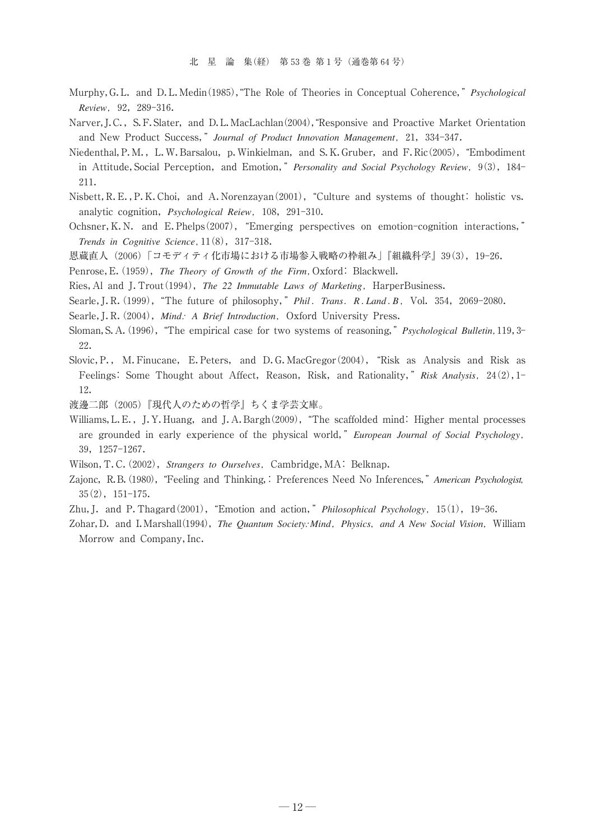- Murphy, G.L. and D.L.Medin(1985), "The Role of Theories in Conceptual Coherence," *Psychological Review*-92,289-316.
- Narver, J.C., S.F. Slater, and D.L. MacLachlan(2004), "Responsive and Proactive Market Orientation and New Product Success," Journal of Product Innovation Management, 21, 334-347.
- Niedenthal, P. M., L. W. Barsalou, p. Winkielman, and S. K. Gruber, and F. Ric(2005), "Embodiment in Attitude, Social Perception, and Emotion," *Personality and Social Psychology Review*, 9(3), 184-211.
- Nisbett, R. E., P. K. Choi, and A. Norenzayan(2001), "Culture and systems of thought: holistic vs. analytic cognition, *Psychological Reiew*, 108, 291-310.
- Ochsner, K.N. and E. Phelps(2007), "Emerging perspectives on emotion-cognition interactions," *Trends in Cognitive Science*,  $11(8)$ , 317-318.
- 恩蔵直人(2006)「コモディティ化市場における市場参入戦略の枠組み」『組織科学』39(3),19-26.
- Penrose, E. (1959), *The Theory of Growth of the Firm*, Oxford: Blackwell.
- Ries, Al and J. Trout (1994), *The 22 Immutable Laws of Marketing*, HarperBusiness.
- Searle, J. R. (1999), "The future of philosophy," *Phil. Trans. R. Land. B*, Vol. 354, 2069-2080.
- Searle, J. R. (2004), *Mind: A Brief Introduction*, Oxford University Press.
- Sloman, S. A. (1996), "The empirical case for two systems of reasoning," *Psychological Bulletin*, 119, 3-22.
- Slovic, P., M. Finucane, E. Peters, and D. G. MacGregor (2004), "Risk as Analysis and Risk as Feelings: Some Thought about Affect, Reason, Risk, and Rationality," Risk Analysis, 24(2), 1-12.
- 渡邊二郎(2005)『現代人のための哲学』ちくま学芸文庫。
- Williams, L. E., J. Y. Huang, and J. A. Bargh(2009), "The scaffolded mind: Higher mental processes are grounded in early experience of the physical world,"*European Journal of Social Psychology*- 39,1257-1267.
- Wilson, T.C. (2002), *Strangers to Ourselves*, Cambridge, MA: Belknap.
- Zajonc, R.B. (1980), "Feeling and Thinking,: Preferences Need No Inferences," American Psychologist, 35(2),151-175.
- Zhu, J. and P. Thagard<sup>(2001)</sup>, "Emotion and action," *Philosophical Psychology*, 15(1), 19-36.
- Zohar,D.and I.Marshall(1994),*The Quantum Society: Mind*-*Physics*-*and A New Social Vision*-William Morrow and Company, Inc.